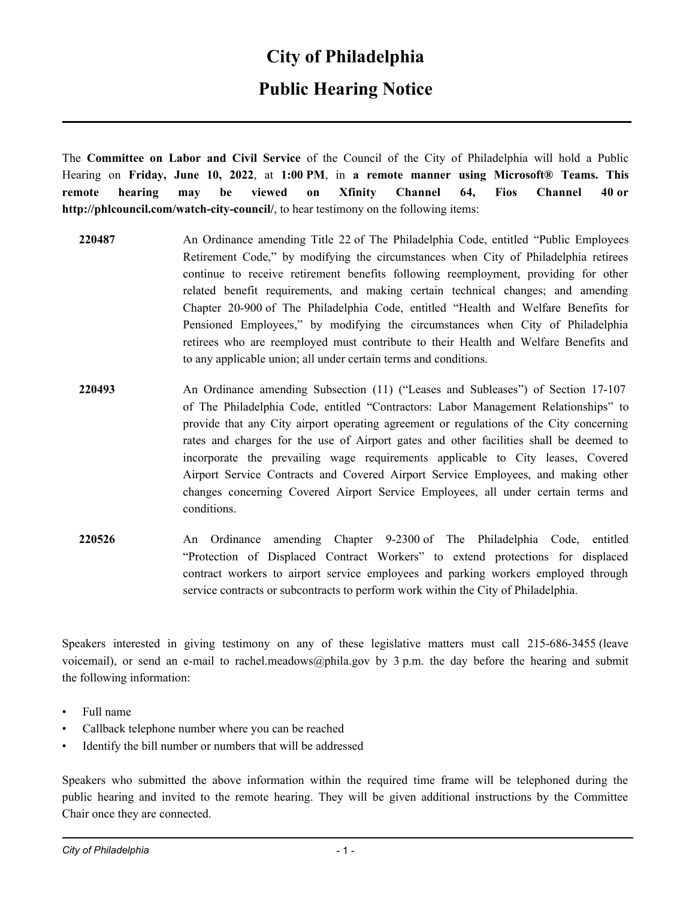#### **City of Philadelphia**

### **Public Hearing Notice**

The **Committee on Labor and Civil Service** of the Council of the City of Philadelphia will hold a Public Hearing on **Friday, June 10, 2022**, at **1:00 PM**, in **a remote manner using Microsoft® Teams. This remote hearing may be viewed on Xfinity Channel 64, Fios Channel 40 or http://phlcouncil.com/watch-city-council/**, to hear testimony on the following items:

- **220487** An Ordinance amending Title 22 of The Philadelphia Code, entitled "Public Employees Retirement Code," by modifying the circumstances when City of Philadelphia retirees continue to receive retirement benefits following reemployment, providing for other related benefit requirements, and making certain technical changes; and amending Chapter 20-900 of The Philadelphia Code, entitled "Health and Welfare Benefits for Pensioned Employees," by modifying the circumstances when City of Philadelphia retirees who are reemployed must contribute to their Health and Welfare Benefits and to any applicable union; all under certain terms and conditions.
- **220493** An Ordinance amending Subsection (11) ("Leases and Subleases") of Section 17-107 of The Philadelphia Code, entitled "Contractors: Labor Management Relationships" to provide that any City airport operating agreement or regulations of the City concerning rates and charges for the use of Airport gates and other facilities shall be deemed to incorporate the prevailing wage requirements applicable to City leases, Covered Airport Service Contracts and Covered Airport Service Employees, and making other changes concerning Covered Airport Service Employees, all under certain terms and conditions.
- **220526** An Ordinance amending Chapter 9-2300 of The Philadelphia Code, entitled "Protection of Displaced Contract Workers" to extend protections for displaced contract workers to airport service employees and parking workers employed through service contracts or subcontracts to perform work within the City of Philadelphia.

Speakers interested in giving testimony on any of these legislative matters must call 215-686-3455 (leave voicemail), or send an e-mail to rachel.meadows@phila.gov by 3 p.m. the day before the hearing and submit the following information:

- Full name
- Callback telephone number where you can be reached
- Identify the bill number or numbers that will be addressed

Speakers who submitted the above information within the required time frame will be telephoned during the public hearing and invited to the remote hearing. They will be given additional instructions by the Committee Chair once they are connected.